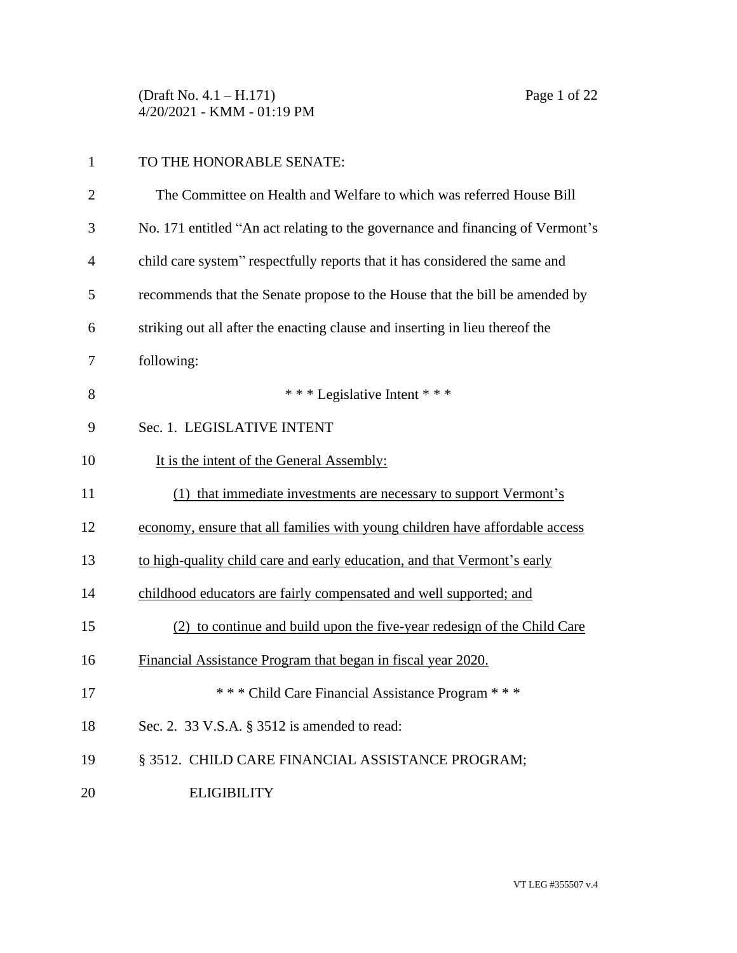(Draft No. 4.1 – H.171) Page 1 of 22 4/20/2021 - KMM - 01:19 PM

| $\mathbf{1}$   | TO THE HONORABLE SENATE:                                                       |
|----------------|--------------------------------------------------------------------------------|
| $\overline{2}$ | The Committee on Health and Welfare to which was referred House Bill           |
| 3              | No. 171 entitled "An act relating to the governance and financing of Vermont's |
| 4              | child care system" respectfully reports that it has considered the same and    |
| 5              | recommends that the Senate propose to the House that the bill be amended by    |
| 6              | striking out all after the enacting clause and inserting in lieu thereof the   |
| 7              | following:                                                                     |
| 8              | *** Legislative Intent ***                                                     |
| 9              | Sec. 1. LEGISLATIVE INTENT                                                     |
| 10             | It is the intent of the General Assembly:                                      |
| 11             | (1) that immediate investments are necessary to support Vermont's              |
| 12             | economy, ensure that all families with young children have affordable access   |
| 13             | to high-quality child care and early education, and that Vermont's early       |
| 14             | childhood educators are fairly compensated and well supported; and             |
| 15             | (2) to continue and build upon the five-year redesign of the Child Care        |
| 16             | Financial Assistance Program that began in fiscal year 2020.                   |
| 17             | *** Child Care Financial Assistance Program ***                                |
| 18             | Sec. 2. 33 V.S.A. § 3512 is amended to read:                                   |
| 19             | § 3512. CHILD CARE FINANCIAL ASSISTANCE PROGRAM;                               |
| 20             | <b>ELIGIBILITY</b>                                                             |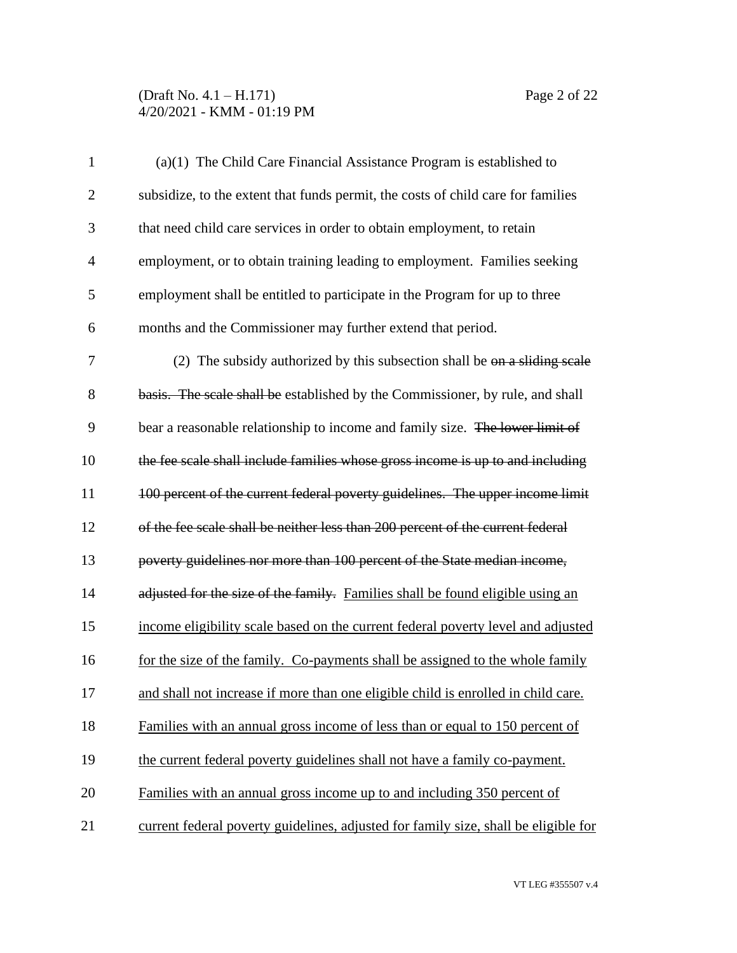### (Draft No. 4.1 – H.171) Page 2 of 22 4/20/2021 - KMM - 01:19 PM

| $\mathbf{1}$   | (a)(1) The Child Care Financial Assistance Program is established to                |
|----------------|-------------------------------------------------------------------------------------|
| $\overline{2}$ | subsidize, to the extent that funds permit, the costs of child care for families    |
| 3              | that need child care services in order to obtain employment, to retain              |
| $\overline{4}$ | employment, or to obtain training leading to employment. Families seeking           |
| 5              | employment shall be entitled to participate in the Program for up to three          |
| 6              | months and the Commissioner may further extend that period.                         |
| 7              | (2) The subsidy authorized by this subsection shall be $\Theta$ a sliding scale     |
| 8              | basis. The scale shall be established by the Commissioner, by rule, and shall       |
| 9              | bear a reasonable relationship to income and family size. The lower limit of        |
| 10             | the fee scale shall include families whose gross income is up to and including      |
| 11             | 100 percent of the current federal poverty guidelines. The upper income limit       |
| 12             | of the fee scale shall be neither less than 200 percent of the current federal      |
| 13             | poverty guidelines nor more than 100 percent of the State median income,            |
| 14             | adjusted for the size of the family. Families shall be found eligible using an      |
| 15             | income eligibility scale based on the current federal poverty level and adjusted    |
| 16             | for the size of the family. Co-payments shall be assigned to the whole family       |
| 17             | and shall not increase if more than one eligible child is enrolled in child care.   |
| 18             | Families with an annual gross income of less than or equal to 150 percent of        |
| 19             | the current federal poverty guidelines shall not have a family co-payment.          |
| 20             | Families with an annual gross income up to and including 350 percent of             |
| 21             | current federal poverty guidelines, adjusted for family size, shall be eligible for |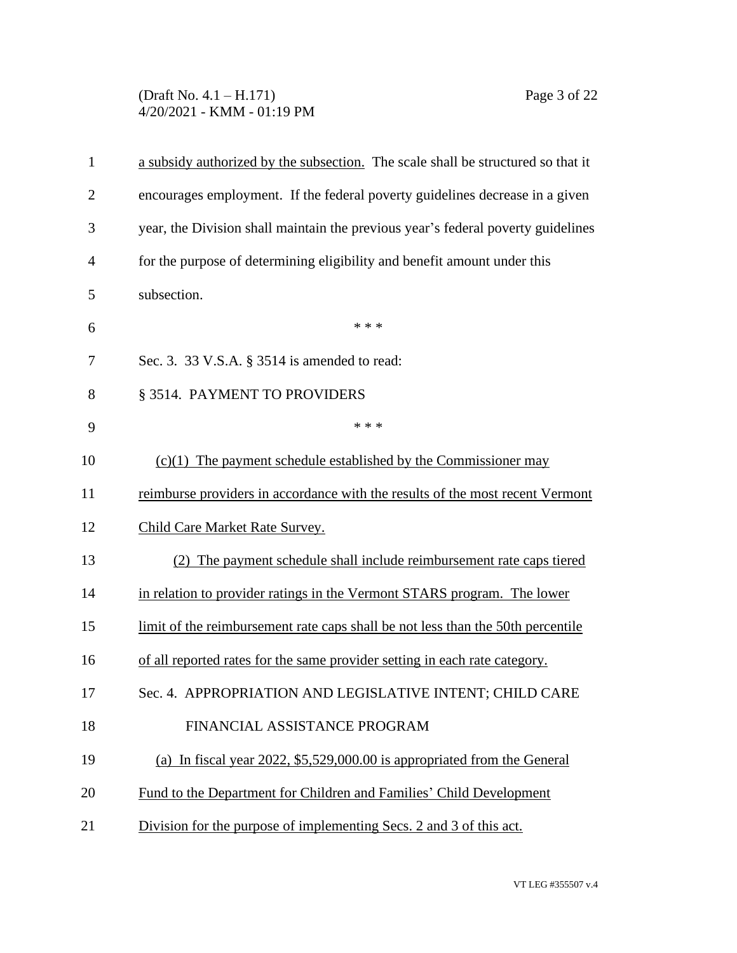# (Draft No. 4.1 – H.171) Page 3 of 22 4/20/2021 - KMM - 01:19 PM

| $\mathbf{1}$   | a subsidy authorized by the subsection. The scale shall be structured so that it |
|----------------|----------------------------------------------------------------------------------|
| $\overline{2}$ | encourages employment. If the federal poverty guidelines decrease in a given     |
| 3              | year, the Division shall maintain the previous year's federal poverty guidelines |
| $\overline{4}$ | for the purpose of determining eligibility and benefit amount under this         |
| 5              | subsection.                                                                      |
| 6              | * * *                                                                            |
| 7              | Sec. 3. 33 V.S.A. § 3514 is amended to read:                                     |
| 8              | § 3514. PAYMENT TO PROVIDERS                                                     |
| 9              | * * *                                                                            |
| 10             | $(c)(1)$ The payment schedule established by the Commissioner may                |
| 11             | reimburse providers in accordance with the results of the most recent Vermont    |
| 12             | Child Care Market Rate Survey.                                                   |
| 13             | The payment schedule shall include reimbursement rate caps tiered                |
| 14             | in relation to provider ratings in the Vermont STARS program. The lower          |
| 15             | limit of the reimbursement rate caps shall be not less than the 50th percentile  |
| 16             | of all reported rates for the same provider setting in each rate category.       |
| 17             | Sec. 4. APPROPRIATION AND LEGISLATIVE INTENT; CHILD CARE                         |
| 18             | FINANCIAL ASSISTANCE PROGRAM                                                     |
| 19             | (a) In fiscal year 2022, $$5,529,000.00$ is appropriated from the General        |
| 20             | Fund to the Department for Children and Families' Child Development              |
| 21             | Division for the purpose of implementing Secs. 2 and 3 of this act.              |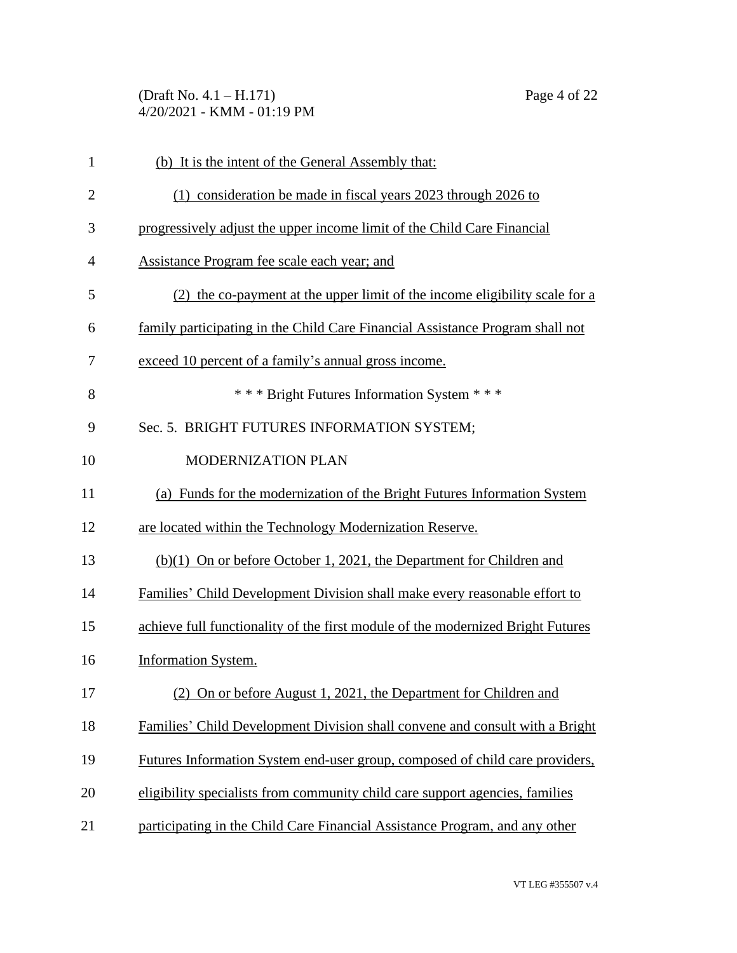# (Draft No. 4.1 – H.171) Page 4 of 22 4/20/2021 - KMM - 01:19 PM

| $\mathbf{1}$   | (b) It is the intent of the General Assembly that:                              |
|----------------|---------------------------------------------------------------------------------|
| $\overline{2}$ | (1) consideration be made in fiscal years 2023 through 2026 to                  |
| 3              | progressively adjust the upper income limit of the Child Care Financial         |
| $\overline{4}$ | Assistance Program fee scale each year; and                                     |
| 5              | (2) the co-payment at the upper limit of the income eligibility scale for a     |
| 6              | family participating in the Child Care Financial Assistance Program shall not   |
| 7              | exceed 10 percent of a family's annual gross income.                            |
| 8              | *** Bright Futures Information System ***                                       |
| 9              | Sec. 5. BRIGHT FUTURES INFORMATION SYSTEM;                                      |
| 10             | MODERNIZATION PLAN                                                              |
| 11             | (a) Funds for the modernization of the Bright Futures Information System        |
| 12             | are located within the Technology Modernization Reserve.                        |
| 13             | $(b)(1)$ On or before October 1, 2021, the Department for Children and          |
| 14             | Families' Child Development Division shall make every reasonable effort to      |
| 15             | achieve full functionality of the first module of the modernized Bright Futures |
| 16             | <b>Information System.</b>                                                      |
| 17             | (2) On or before August 1, 2021, the Department for Children and                |
| 18             | Families' Child Development Division shall convene and consult with a Bright    |
| 19             | Futures Information System end-user group, composed of child care providers,    |
| 20             | eligibility specialists from community child care support agencies, families    |
| 21             | participating in the Child Care Financial Assistance Program, and any other     |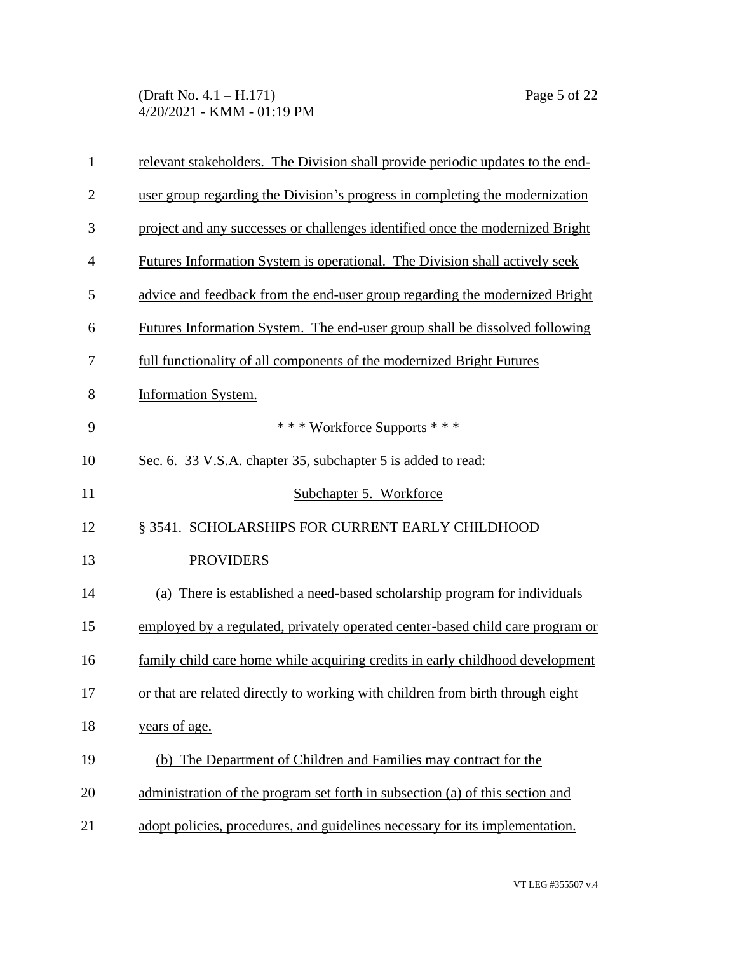#### (Draft No. 4.1 – H.171) Page 5 of 22 4/20/2021 - KMM - 01:19 PM

| $\mathbf{1}$   | relevant stakeholders. The Division shall provide periodic updates to the end-     |
|----------------|------------------------------------------------------------------------------------|
| $\overline{2}$ | user group regarding the Division's progress in completing the modernization       |
| 3              | project and any successes or challenges identified once the modernized Bright      |
| $\overline{4}$ | Futures Information System is operational. The Division shall actively seek        |
| 5              | advice and feedback from the end-user group regarding the modernized Bright        |
| 6              | <u>Futures Information System. The end-user group shall be dissolved following</u> |
| 7              | full functionality of all components of the modernized Bright Futures              |
| 8              | Information System.                                                                |
| 9              | *** Workforce Supports ***                                                         |
| 10             | Sec. 6. 33 V.S.A. chapter 35, subchapter 5 is added to read:                       |
| 11             | Subchapter 5. Workforce                                                            |
| 12             | § 3541. SCHOLARSHIPS FOR CURRENT EARLY CHILDHOOD                                   |
| 13             | <b>PROVIDERS</b>                                                                   |
| 14             | (a) There is established a need-based scholarship program for individuals          |
| 15             | employed by a regulated, privately operated center-based child care program or     |
| 16             | family child care home while acquiring credits in early childhood development      |
| 17             | or that are related directly to working with children from birth through eight     |
| 18             | years of age.                                                                      |
| 19             | (b) The Department of Children and Families may contract for the                   |
| 20             | administration of the program set forth in subsection (a) of this section and      |
| 21             | adopt policies, procedures, and guidelines necessary for its implementation.       |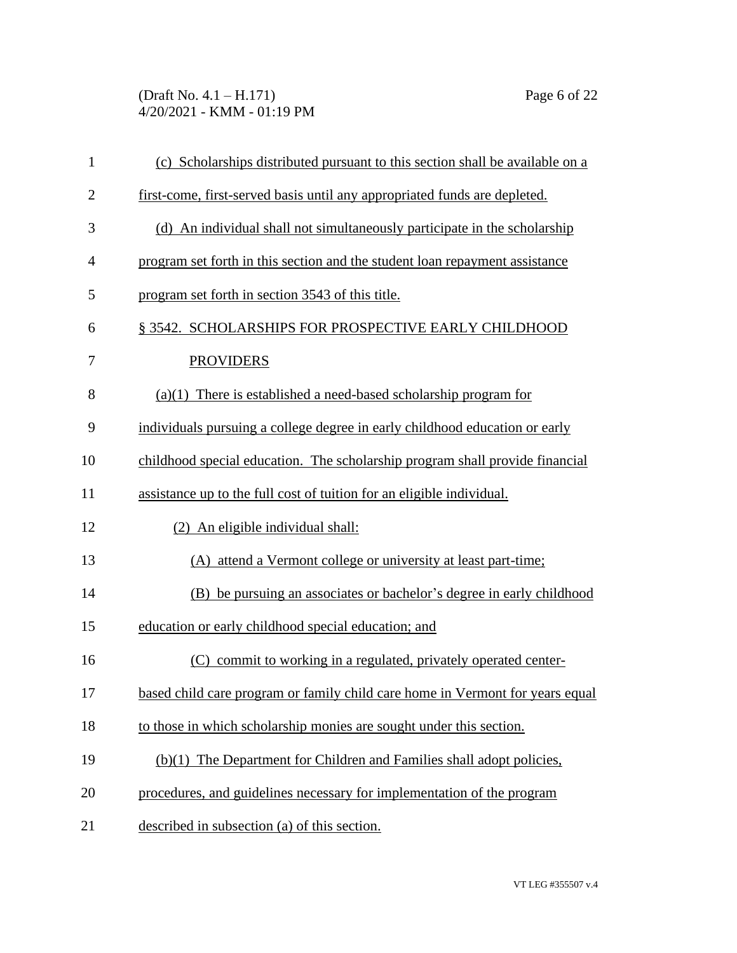(Draft No. 4.1 – H.171) Page 6 of 22 4/20/2021 - KMM - 01:19 PM

| $\mathbf{1}$   | (c) Scholarships distributed pursuant to this section shall be available on a |
|----------------|-------------------------------------------------------------------------------|
| $\mathbf{2}$   | first-come, first-served basis until any appropriated funds are depleted.     |
| 3              | (d) An individual shall not simultaneously participate in the scholarship     |
| $\overline{4}$ | program set forth in this section and the student loan repayment assistance   |
| 5              | program set forth in section 3543 of this title.                              |
| 6              | § 3542. SCHOLARSHIPS FOR PROSPECTIVE EARLY CHILDHOOD                          |
| 7              | <b>PROVIDERS</b>                                                              |
| 8              | $(a)(1)$ There is established a need-based scholarship program for            |
| 9              | individuals pursuing a college degree in early childhood education or early   |
| 10             | childhood special education. The scholarship program shall provide financial  |
| 11             | assistance up to the full cost of tuition for an eligible individual.         |
| 12             | (2) An eligible individual shall:                                             |
| 13             | (A) attend a Vermont college or university at least part-time;                |
| 14             | (B) be pursuing an associates or bachelor's degree in early childhood         |
| 15             | education or early childhood special education; and                           |
| 16             | (C) commit to working in a regulated, privately operated center-              |
| 17             | based child care program or family child care home in Vermont for years equal |
| 18             | to those in which scholarship monies are sought under this section.           |
| 19             | (b)(1) The Department for Children and Families shall adopt policies,         |
| 20             | procedures, and guidelines necessary for implementation of the program        |
| 21             | described in subsection (a) of this section.                                  |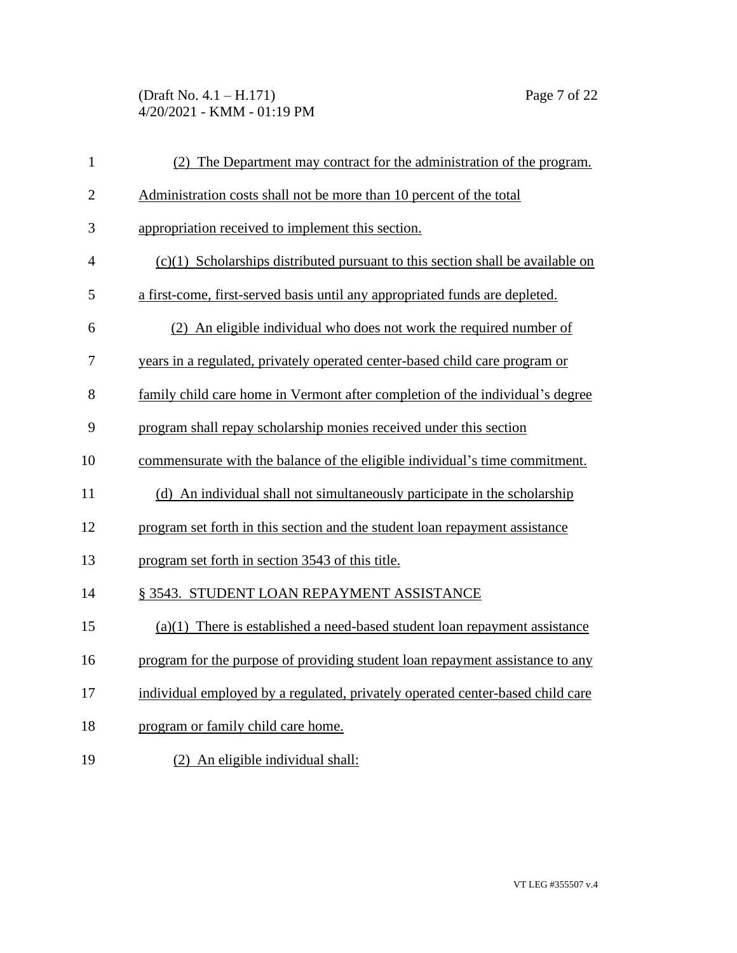### (Draft No. 4.1 – H.171) Page 7 of 22 4/20/2021 - KMM - 01:19 PM

| $\mathbf{1}$   | (2) The Department may contract for the administration of the program.           |
|----------------|----------------------------------------------------------------------------------|
| $\overline{2}$ | Administration costs shall not be more than 10 percent of the total              |
| 3              | appropriation received to implement this section.                                |
| $\overline{4}$ | $(c)(1)$ Scholarships distributed pursuant to this section shall be available on |
| 5              | a first-come, first-served basis until any appropriated funds are depleted.      |
| 6              | (2) An eligible individual who does not work the required number of              |
| 7              | years in a regulated, privately operated center-based child care program or      |
| 8              | family child care home in Vermont after completion of the individual's degree    |
| 9              | program shall repay scholarship monies received under this section               |
| 10             | commensurate with the balance of the eligible individual's time commitment.      |
| 11             | (d) An individual shall not simultaneously participate in the scholarship        |
| 12             | program set forth in this section and the student loan repayment assistance      |
| 13             | program set forth in section 3543 of this title.                                 |
| 14             | § 3543. STUDENT LOAN REPAYMENT ASSISTANCE                                        |
| 15             | $(a)(1)$ There is established a need-based student loan repayment assistance     |
| 16             | program for the purpose of providing student loan repayment assistance to any    |
| 17             | individual employed by a regulated, privately operated center-based child care   |
| 18             | program or family child care home.                                               |
| 19             | (2) An eligible individual shall:                                                |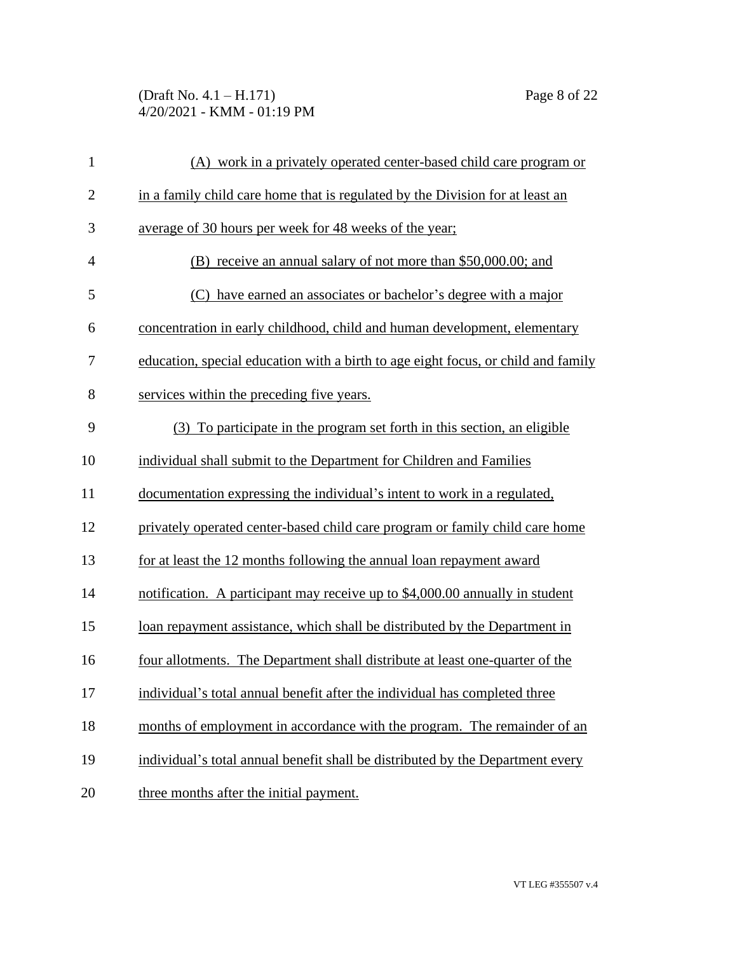# (Draft No. 4.1 – H.171) Page 8 of 22 4/20/2021 - KMM - 01:19 PM

| $\mathbf{1}$   | (A) work in a privately operated center-based child care program or               |
|----------------|-----------------------------------------------------------------------------------|
| $\overline{2}$ | in a family child care home that is regulated by the Division for at least an     |
| 3              | average of 30 hours per week for 48 weeks of the year;                            |
| $\overline{4}$ | (B) receive an annual salary of not more than \$50,000.00; and                    |
| 5              | (C) have earned an associates or bachelor's degree with a major                   |
| 6              | concentration in early childhood, child and human development, elementary         |
| 7              | education, special education with a birth to age eight focus, or child and family |
| 8              | services within the preceding five years.                                         |
| 9              | (3) To participate in the program set forth in this section, an eligible          |
| 10             | individual shall submit to the Department for Children and Families               |
| 11             | documentation expressing the individual's intent to work in a regulated,          |
| 12             | privately operated center-based child care program or family child care home      |
| 13             | for at least the 12 months following the annual loan repayment award              |
| 14             | notification. A participant may receive up to \$4,000.00 annually in student      |
| 15             | loan repayment assistance, which shall be distributed by the Department in        |
| 16             | four allotments. The Department shall distribute at least one-quarter of the      |
| 17             | individual's total annual benefit after the individual has completed three        |
| 18             | months of employment in accordance with the program. The remainder of an          |
| 19             | individual's total annual benefit shall be distributed by the Department every    |
| 20             | three months after the initial payment.                                           |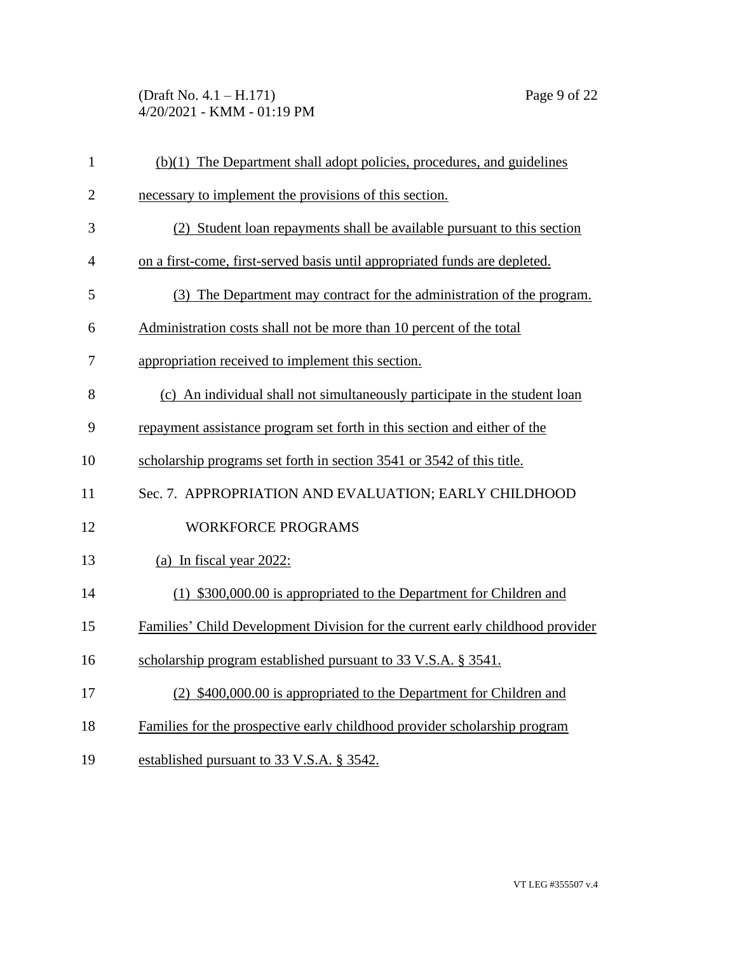### (Draft No. 4.1 – H.171) Page 9 of 22 4/20/2021 - KMM - 01:19 PM

| $\mathbf{1}$   | (b)(1) The Department shall adopt policies, procedures, and guidelines        |
|----------------|-------------------------------------------------------------------------------|
| $\mathbf{2}$   | necessary to implement the provisions of this section.                        |
| 3              | (2) Student loan repayments shall be available pursuant to this section       |
| $\overline{4}$ | on a first-come, first-served basis until appropriated funds are depleted.    |
| 5              | (3) The Department may contract for the administration of the program.        |
| 6              | Administration costs shall not be more than 10 percent of the total           |
| 7              | appropriation received to implement this section.                             |
| 8              | (c) An individual shall not simultaneously participate in the student loan    |
| 9              | repayment assistance program set forth in this section and either of the      |
| 10             | scholarship programs set forth in section 3541 or 3542 of this title.         |
| 11             | Sec. 7. APPROPRIATION AND EVALUATION; EARLY CHILDHOOD                         |
| 12             | <b>WORKFORCE PROGRAMS</b>                                                     |
| 13             | (a) In fiscal year $2022$ :                                                   |
| 14             | (1) \$300,000.00 is appropriated to the Department for Children and           |
| 15             | Families' Child Development Division for the current early childhood provider |
| 16             | scholarship program established pursuant to 33 V.S.A. § 3541.                 |
| 17             | (2) \$400,000.00 is appropriated to the Department for Children and           |
| 18             | Families for the prospective early childhood provider scholarship program     |
| 19             | established pursuant to 33 V.S.A. § 3542.                                     |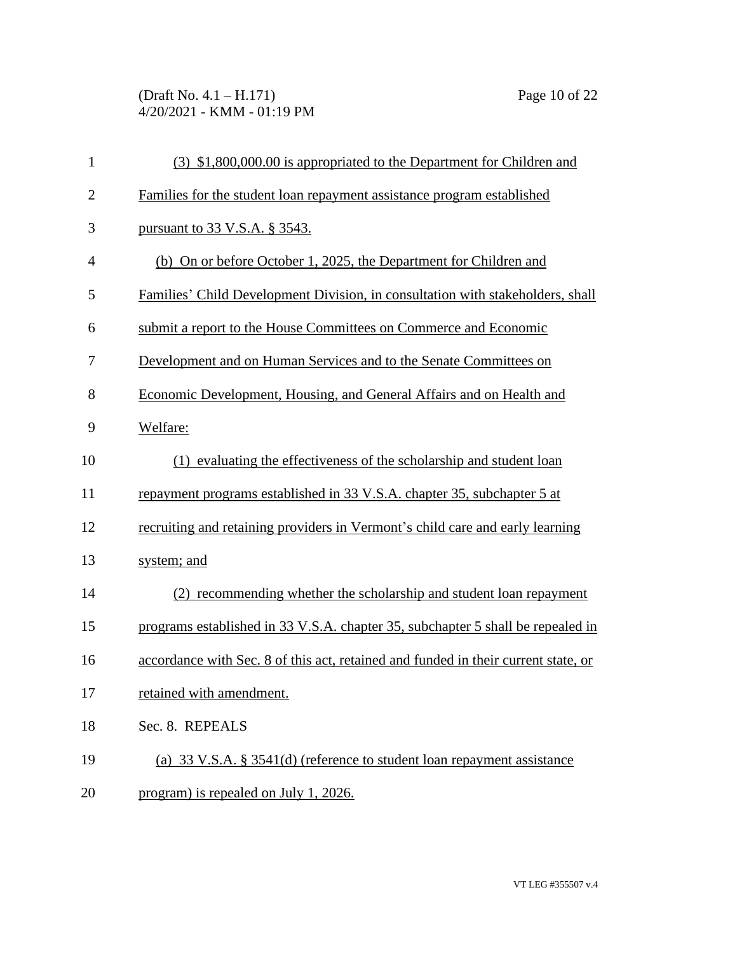(Draft No. 4.1 – H.171) Page 10 of 22 4/20/2021 - KMM - 01:19 PM

| $\mathbf{1}$   | (3) \$1,800,000.00 is appropriated to the Department for Children and              |
|----------------|------------------------------------------------------------------------------------|
| $\overline{2}$ | Families for the student loan repayment assistance program established             |
| 3              | pursuant to 33 V.S.A. § 3543.                                                      |
| $\overline{4}$ | (b) On or before October 1, 2025, the Department for Children and                  |
| 5              | Families' Child Development Division, in consultation with stakeholders, shall     |
| 6              | submit a report to the House Committees on Commerce and Economic                   |
| 7              | Development and on Human Services and to the Senate Committees on                  |
| 8              | Economic Development, Housing, and General Affairs and on Health and               |
| 9              | Welfare:                                                                           |
| 10             | (1) evaluating the effectiveness of the scholarship and student loan               |
| 11             | repayment programs established in 33 V.S.A. chapter 35, subchapter 5 at            |
| 12             | recruiting and retaining providers in Vermont's child care and early learning      |
| 13             | system; and                                                                        |
| 14             | (2) recommending whether the scholarship and student loan repayment                |
| 15             | programs established in 33 V.S.A. chapter 35, subchapter 5 shall be repealed in    |
| 16             | accordance with Sec. 8 of this act, retained and funded in their current state, or |
| 17             | retained with amendment.                                                           |
| 18             | Sec. 8. REPEALS                                                                    |
| 19             | (a) 33 V.S.A. § 3541(d) (reference to student loan repayment assistance            |
| 20             | program) is repealed on July 1, 2026.                                              |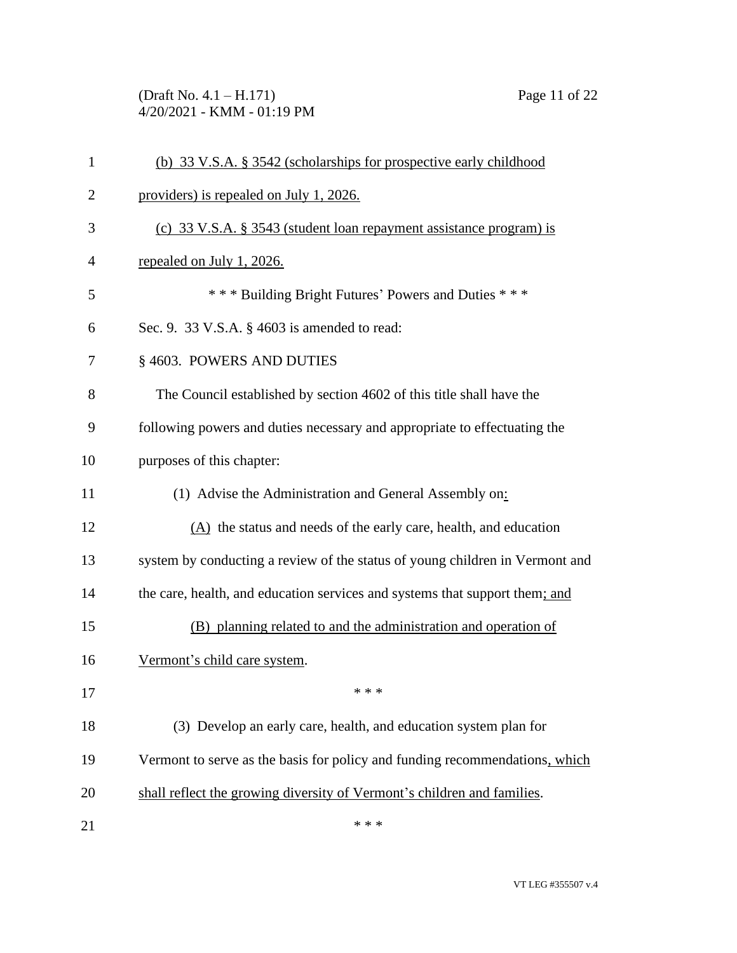(Draft No. 4.1 – H.171) Page 11 of 22 4/20/2021 - KMM - 01:19 PM

| $\mathbf{1}$ | (b) 33 V.S.A. § 3542 (scholarships for prospective early childhood           |
|--------------|------------------------------------------------------------------------------|
| 2            | providers) is repealed on July 1, 2026.                                      |
| 3            | (c) 33 V.S.A. § 3543 (student loan repayment assistance program) is          |
| 4            | repealed on July 1, 2026.                                                    |
| 5            | *** Building Bright Futures' Powers and Duties ***                           |
| 6            | Sec. 9. 33 V.S.A. § 4603 is amended to read:                                 |
| 7            | § 4603. POWERS AND DUTIES                                                    |
| 8            | The Council established by section 4602 of this title shall have the         |
| 9            | following powers and duties necessary and appropriate to effectuating the    |
| 10           | purposes of this chapter:                                                    |
| 11           | (1) Advise the Administration and General Assembly on:                       |
| 12           | $(A)$ the status and needs of the early care, health, and education          |
| 13           | system by conducting a review of the status of young children in Vermont and |
| 14           | the care, health, and education services and systems that support them; and  |
| 15           | (B) planning related to and the administration and operation of              |
| 16           | Vermont's child care system.                                                 |
| 17           |                                                                              |
| 18           | (3) Develop an early care, health, and education system plan for             |
| 19           | Vermont to serve as the basis for policy and funding recommendations, which  |
| 20           | shall reflect the growing diversity of Vermont's children and families.      |
| 21           | * * *                                                                        |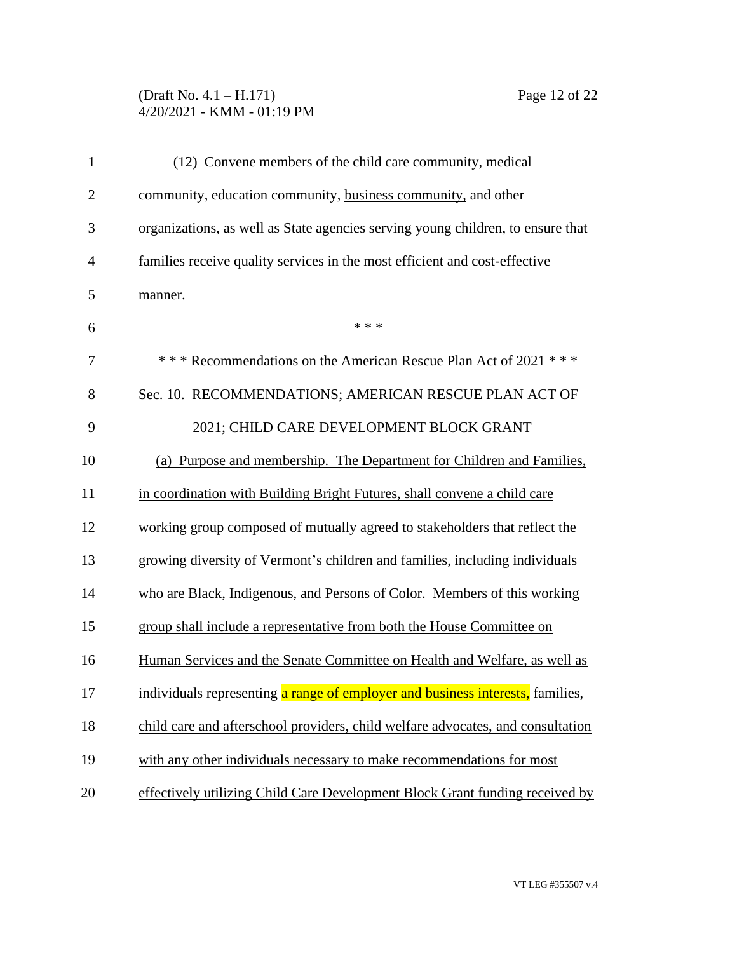# (Draft No. 4.1 – H.171) Page 12 of 22 4/20/2021 - KMM - 01:19 PM

| $\mathbf{1}$   | (12) Convene members of the child care community, medical                       |
|----------------|---------------------------------------------------------------------------------|
| $\overline{2}$ | community, education community, business community, and other                   |
| 3              | organizations, as well as State agencies serving young children, to ensure that |
| $\overline{4}$ | families receive quality services in the most efficient and cost-effective      |
| 5              | manner.                                                                         |
| 6              | * * *                                                                           |
| 7              | *** Recommendations on the American Rescue Plan Act of 2021 ***                 |
| 8              | Sec. 10. RECOMMENDATIONS; AMERICAN RESCUE PLAN ACT OF                           |
| 9              | 2021; CHILD CARE DEVELOPMENT BLOCK GRANT                                        |
| 10             | (a) Purpose and membership. The Department for Children and Families,           |
| 11             | in coordination with Building Bright Futures, shall convene a child care        |
| 12             | working group composed of mutually agreed to stakeholders that reflect the      |
| 13             | growing diversity of Vermont's children and families, including individuals     |
| 14             | who are Black, Indigenous, and Persons of Color. Members of this working        |
| 15             | group shall include a representative from both the House Committee on           |
| 16             | Human Services and the Senate Committee on Health and Welfare, as well as       |
| 17             | individuals representing a range of employer and business interests, families,  |
| 18             | child care and afterschool providers, child welfare advocates, and consultation |
| 19             | with any other individuals necessary to make recommendations for most           |
| 20             | effectively utilizing Child Care Development Block Grant funding received by    |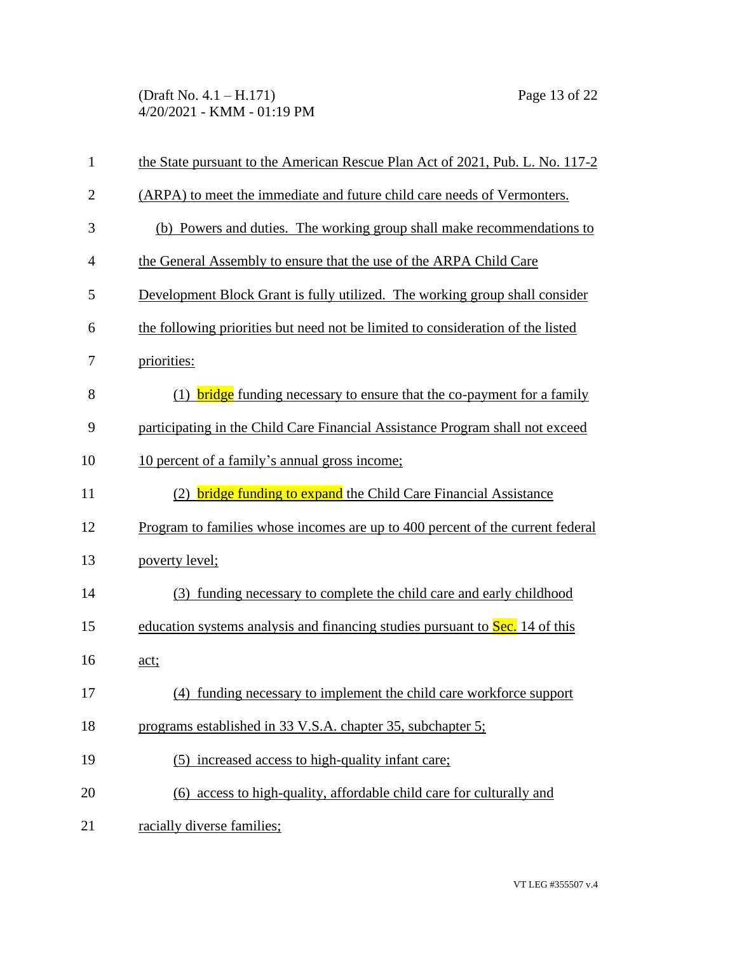(Draft No. 4.1 – H.171) Page 13 of 22 4/20/2021 - KMM - 01:19 PM

| $\mathbf{1}$   | the State pursuant to the American Rescue Plan Act of 2021, Pub. L. No. 117-2   |  |  |
|----------------|---------------------------------------------------------------------------------|--|--|
| $\overline{2}$ | (ARPA) to meet the immediate and future child care needs of Vermonters.         |  |  |
| 3              | (b) Powers and duties. The working group shall make recommendations to          |  |  |
| $\overline{4}$ | the General Assembly to ensure that the use of the ARPA Child Care              |  |  |
| 5              | Development Block Grant is fully utilized. The working group shall consider     |  |  |
| 6              | the following priorities but need not be limited to consideration of the listed |  |  |
| 7              | priorities:                                                                     |  |  |
| 8              | (1) <b>bridge</b> funding necessary to ensure that the co-payment for a family  |  |  |
| 9              | participating in the Child Care Financial Assistance Program shall not exceed   |  |  |
| 10             | 10 percent of a family's annual gross income;                                   |  |  |
| 11             | (2) <b>bridge funding to expand</b> the Child Care Financial Assistance         |  |  |
| 12             | Program to families whose incomes are up to 400 percent of the current federal  |  |  |
| 13             | poverty level;                                                                  |  |  |
| 14             | (3) funding necessary to complete the child care and early childhood            |  |  |
| 15             | education systems analysis and financing studies pursuant to Sec. 14 of this    |  |  |
| 16             | act;                                                                            |  |  |
| 17             | (4) funding necessary to implement the child care workforce support             |  |  |
| 18             | programs established in 33 V.S.A. chapter 35, subchapter 5;                     |  |  |
| 19             | (5) increased access to high-quality infant care;                               |  |  |
| 20             | (6) access to high-quality, affordable child care for culturally and            |  |  |
| 21             | racially diverse families;                                                      |  |  |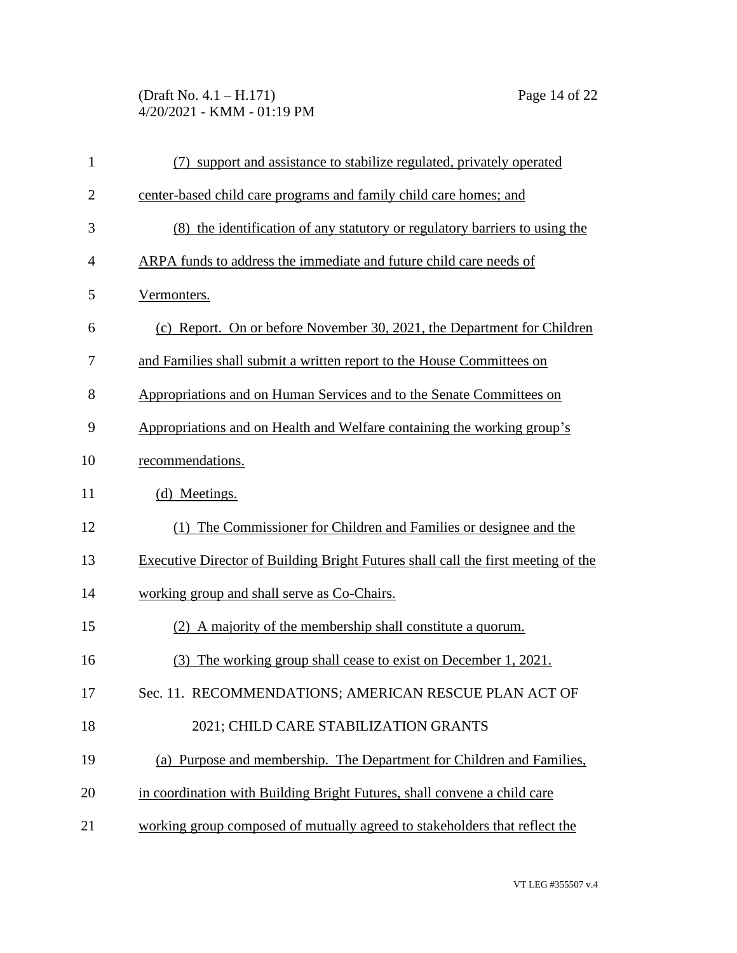# (Draft No. 4.1 – H.171) Page 14 of 22 4/20/2021 - KMM - 01:19 PM

| $\mathbf{1}$   | support and assistance to stabilize regulated, privately operated<br>(7)          |  |  |
|----------------|-----------------------------------------------------------------------------------|--|--|
| $\overline{2}$ | center-based child care programs and family child care homes; and                 |  |  |
| 3              | (8) the identification of any statutory or regulatory barriers to using the       |  |  |
| 4              | ARPA funds to address the immediate and future child care needs of                |  |  |
| 5              | Vermonters.                                                                       |  |  |
| 6              | (c) Report. On or before November 30, 2021, the Department for Children           |  |  |
| 7              | and Families shall submit a written report to the House Committees on             |  |  |
| 8              | Appropriations and on Human Services and to the Senate Committees on              |  |  |
| 9              | Appropriations and on Health and Welfare containing the working group's           |  |  |
| 10             | recommendations.                                                                  |  |  |
| 11             | (d) Meetings.                                                                     |  |  |
| 12             | (1) The Commissioner for Children and Families or designee and the                |  |  |
| 13             | Executive Director of Building Bright Futures shall call the first meeting of the |  |  |
| 14             | working group and shall serve as Co-Chairs.                                       |  |  |
| 15             | (2) A majority of the membership shall constitute a quorum.                       |  |  |
| 16             | The working group shall cease to exist on December 1, 2021.<br>(3)                |  |  |
| 17             | Sec. 11. RECOMMENDATIONS; AMERICAN RESCUE PLAN ACT OF                             |  |  |
| 18             | 2021; CHILD CARE STABILIZATION GRANTS                                             |  |  |
| 19             | (a) Purpose and membership. The Department for Children and Families,             |  |  |
| 20             | in coordination with Building Bright Futures, shall convene a child care          |  |  |
| 21             | working group composed of mutually agreed to stakeholders that reflect the        |  |  |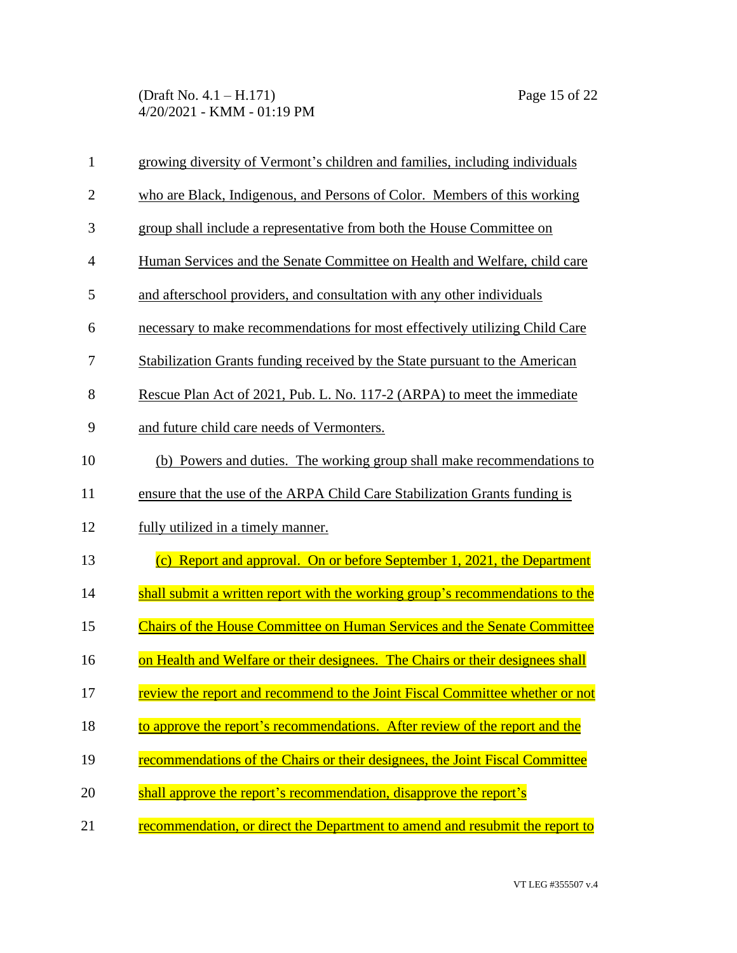| $\mathbf{1}$   | growing diversity of Vermont's children and families, including individuals     |  |
|----------------|---------------------------------------------------------------------------------|--|
| $\overline{2}$ | who are Black, Indigenous, and Persons of Color. Members of this working        |  |
| 3              | group shall include a representative from both the House Committee on           |  |
| $\overline{4}$ | Human Services and the Senate Committee on Health and Welfare, child care       |  |
| 5              | and afterschool providers, and consultation with any other individuals          |  |
| 6              | necessary to make recommendations for most effectively utilizing Child Care     |  |
| 7              | Stabilization Grants funding received by the State pursuant to the American     |  |
| 8              | Rescue Plan Act of 2021, Pub. L. No. 117-2 (ARPA) to meet the immediate         |  |
| 9              | and future child care needs of Vermonters.                                      |  |
| 10             | (b) Powers and duties. The working group shall make recommendations to          |  |
| 11             | ensure that the use of the ARPA Child Care Stabilization Grants funding is      |  |
| 12             | fully utilized in a timely manner.                                              |  |
| 13             | (c) Report and approval. On or before September 1, 2021, the Department         |  |
| 14             | shall submit a written report with the working group's recommendations to the   |  |
| 15             | <b>Chairs of the House Committee on Human Services and the Senate Committee</b> |  |
| 16             | on Health and Welfare or their designees. The Chairs or their designees shall   |  |
| 17             | review the report and recommend to the Joint Fiscal Committee whether or not    |  |
| 18             | to approve the report's recommendations. After review of the report and the     |  |
| 19             | recommendations of the Chairs or their designees, the Joint Fiscal Committee    |  |
| 20             | shall approve the report's recommendation, disapprove the report's              |  |
| 21             | recommendation, or direct the Department to amend and resubmit the report to    |  |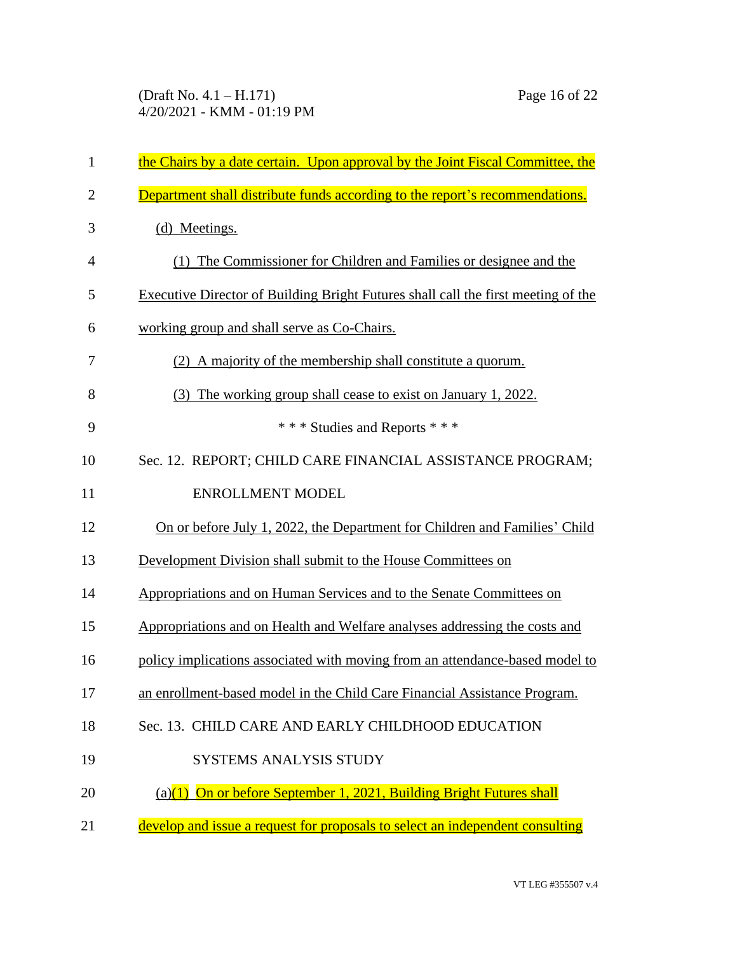| $\mathbf{1}$   | the Chairs by a date certain. Upon approval by the Joint Fiscal Committee, the    |  |
|----------------|-----------------------------------------------------------------------------------|--|
| $\overline{2}$ | Department shall distribute funds according to the report's recommendations.      |  |
| 3              | (d) Meetings.                                                                     |  |
| 4              | (1) The Commissioner for Children and Families or designee and the                |  |
| 5              | Executive Director of Building Bright Futures shall call the first meeting of the |  |
| 6              | working group and shall serve as Co-Chairs.                                       |  |
| 7              | (2) A majority of the membership shall constitute a quorum.                       |  |
| 8              | The working group shall cease to exist on January 1, 2022.<br>(3)                 |  |
| 9              | *** Studies and Reports ***                                                       |  |
| 10             | Sec. 12. REPORT; CHILD CARE FINANCIAL ASSISTANCE PROGRAM;                         |  |
| 11             | <b>ENROLLMENT MODEL</b>                                                           |  |
| 12             | On or before July 1, 2022, the Department for Children and Families' Child        |  |
| 13             | Development Division shall submit to the House Committees on                      |  |
| 14             | Appropriations and on Human Services and to the Senate Committees on              |  |
| 15             | Appropriations and on Health and Welfare analyses addressing the costs and        |  |
| 16             | policy implications associated with moving from an attendance-based model to      |  |
| 17             | an enrollment-based model in the Child Care Financial Assistance Program.         |  |
| 18             | Sec. 13. CHILD CARE AND EARLY CHILDHOOD EDUCATION                                 |  |
| 19             | <b>SYSTEMS ANALYSIS STUDY</b>                                                     |  |
| 20             | (a)(1) On or before September 1, 2021, Building Bright Futures shall              |  |
| 21             | develop and issue a request for proposals to select an independent consulting     |  |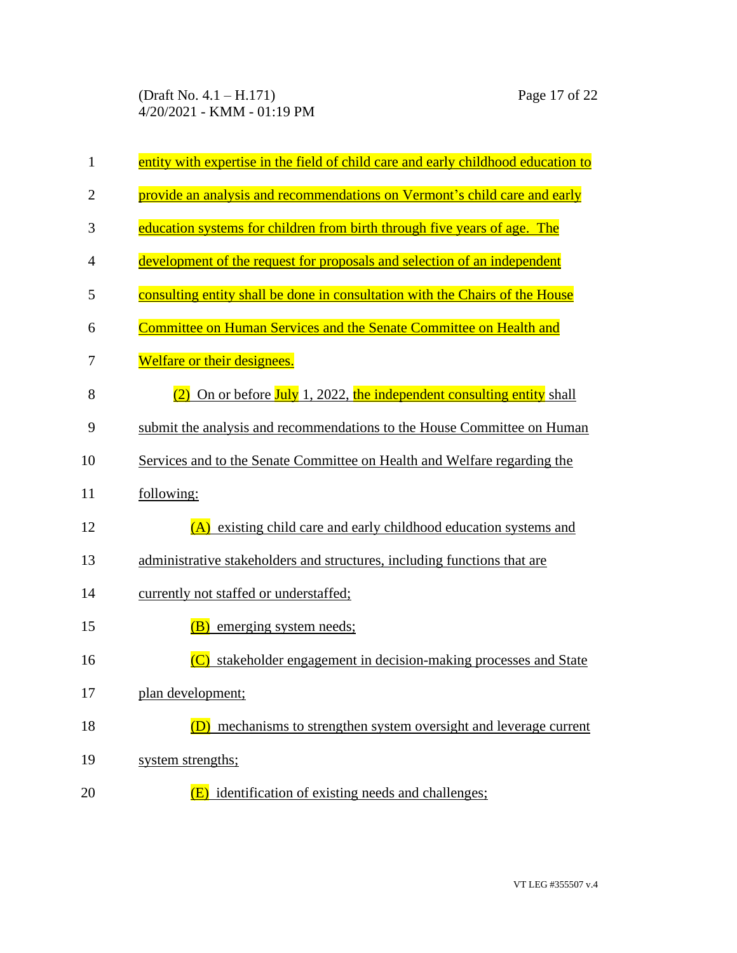| $\mathbf{1}$   | entity with expertise in the field of child care and early childhood education to |  |
|----------------|-----------------------------------------------------------------------------------|--|
| $\overline{2}$ | provide an analysis and recommendations on Vermont's child care and early         |  |
| 3              | education systems for children from birth through five years of age. The          |  |
| 4              | development of the request for proposals and selection of an independent          |  |
| 5              | consulting entity shall be done in consultation with the Chairs of the House      |  |
| 6              | Committee on Human Services and the Senate Committee on Health and                |  |
| 7              | Welfare or their designees.                                                       |  |
| 8              | $(2)$ On or before July 1, 2022, the independent consulting entity shall          |  |
| 9              | submit the analysis and recommendations to the House Committee on Human           |  |
| 10             | Services and to the Senate Committee on Health and Welfare regarding the          |  |
| 11             | following:                                                                        |  |
| 12             | (A) existing child care and early childhood education systems and                 |  |
| 13             | administrative stakeholders and structures, including functions that are          |  |
| 14             | currently not staffed or understaffed;                                            |  |
| 15             | (B)<br>emerging system needs;                                                     |  |
| 16             | stakeholder engagement in decision-making processes and State                     |  |
| 17             | plan development;                                                                 |  |
| 18             | mechanisms to strengthen system oversight and leverage current                    |  |
| 19             | system strengths;                                                                 |  |
| 20             | identification of existing needs and challenges;                                  |  |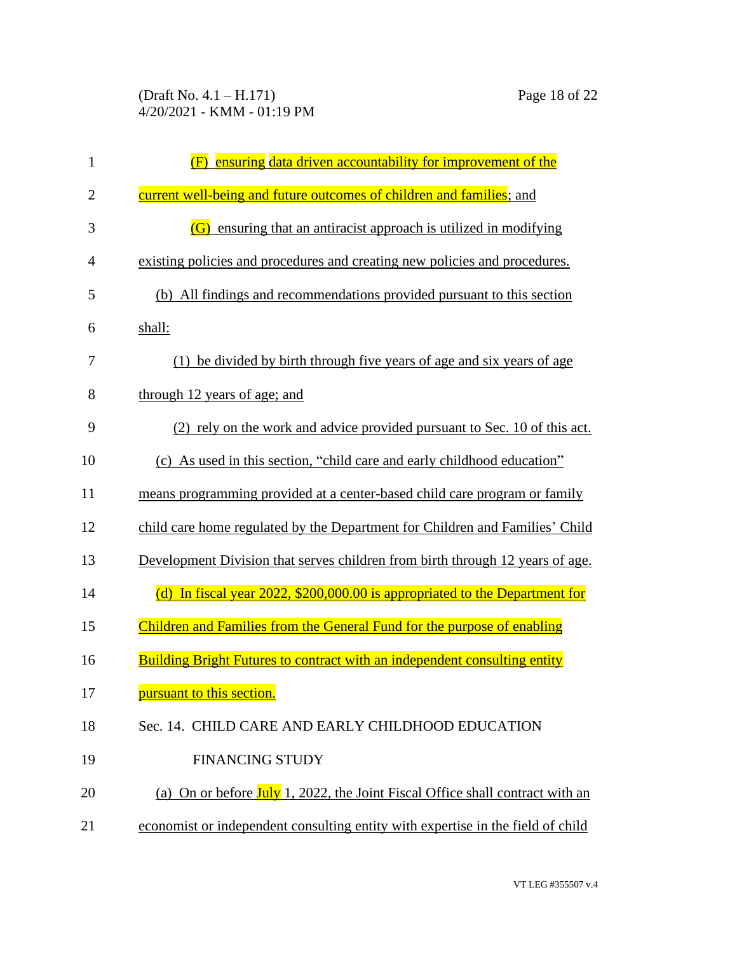| $\mathbf{1}$   | ensuring data driven accountability for improvement of the                       |
|----------------|----------------------------------------------------------------------------------|
| $\overline{2}$ | current well-being and future outcomes of children and families; and             |
| 3              | ensuring that an antiracist approach is utilized in modifying<br>(G)             |
| 4              | existing policies and procedures and creating new policies and procedures.       |
| 5              | (b) All findings and recommendations provided pursuant to this section           |
| 6              | shall:                                                                           |
| 7              | (1) be divided by birth through five years of age and six years of age           |
| 8              | through 12 years of age; and                                                     |
| 9              | (2) rely on the work and advice provided pursuant to Sec. 10 of this act.        |
| 10             | (c) As used in this section, "child care and early childhood education"          |
| 11             | means programming provided at a center-based child care program or family        |
| 12             | child care home regulated by the Department for Children and Families' Child     |
| 13             | Development Division that serves children from birth through 12 years of age.    |
| 14             | (d) In fiscal year 2022, \$200,000.00 is appropriated to the Department for      |
| 15             | Children and Families from the General Fund for the purpose of enabling          |
| 16             | <b>Building Bright Futures to contract with an independent consulting entity</b> |
| 17             | pursuant to this section.                                                        |
| 18             | Sec. 14. CHILD CARE AND EARLY CHILDHOOD EDUCATION                                |
| 19             | <b>FINANCING STUDY</b>                                                           |
| 20             | (a) On or before July 1, 2022, the Joint Fiscal Office shall contract with an    |
| 21             | economist or independent consulting entity with expertise in the field of child  |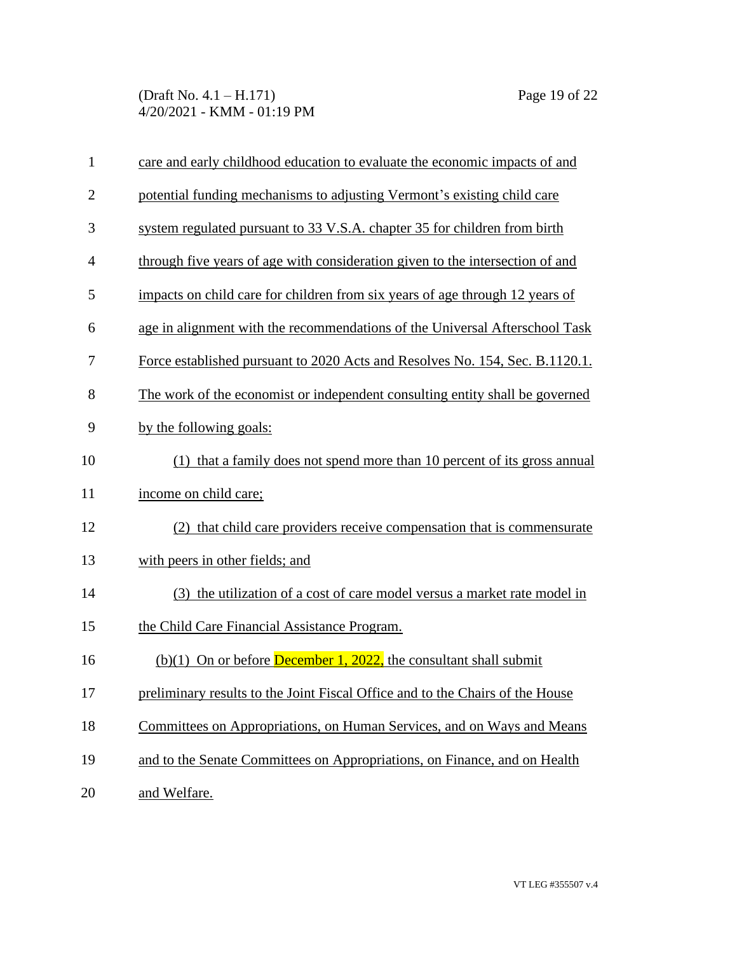| $\mathbf{1}$   | care and early childhood education to evaluate the economic impacts of and    |
|----------------|-------------------------------------------------------------------------------|
| $\overline{2}$ | potential funding mechanisms to adjusting Vermont's existing child care       |
| 3              | system regulated pursuant to 33 V.S.A. chapter 35 for children from birth     |
| $\overline{4}$ | through five years of age with consideration given to the intersection of and |
| 5              | impacts on child care for children from six years of age through 12 years of  |
| 6              | age in alignment with the recommendations of the Universal Afterschool Task   |
| 7              | Force established pursuant to 2020 Acts and Resolves No. 154, Sec. B.1120.1.  |
| 8              | The work of the economist or independent consulting entity shall be governed  |
| 9              | by the following goals:                                                       |
| 10             | (1) that a family does not spend more than 10 percent of its gross annual     |
| 11             | income on child care;                                                         |
| 12             | (2) that child care providers receive compensation that is commensurate       |
| 13             | with peers in other fields; and                                               |
| 14             | (3) the utilization of a cost of care model versus a market rate model in     |
| 15             | the Child Care Financial Assistance Program.                                  |
| 16             | $(b)(1)$ On or before <b>December 1, 2022</b> , the consultant shall submit   |
| 17             | preliminary results to the Joint Fiscal Office and to the Chairs of the House |
| 18             | Committees on Appropriations, on Human Services, and on Ways and Means        |
| 19             | and to the Senate Committees on Appropriations, on Finance, and on Health     |
| 20             | and Welfare.                                                                  |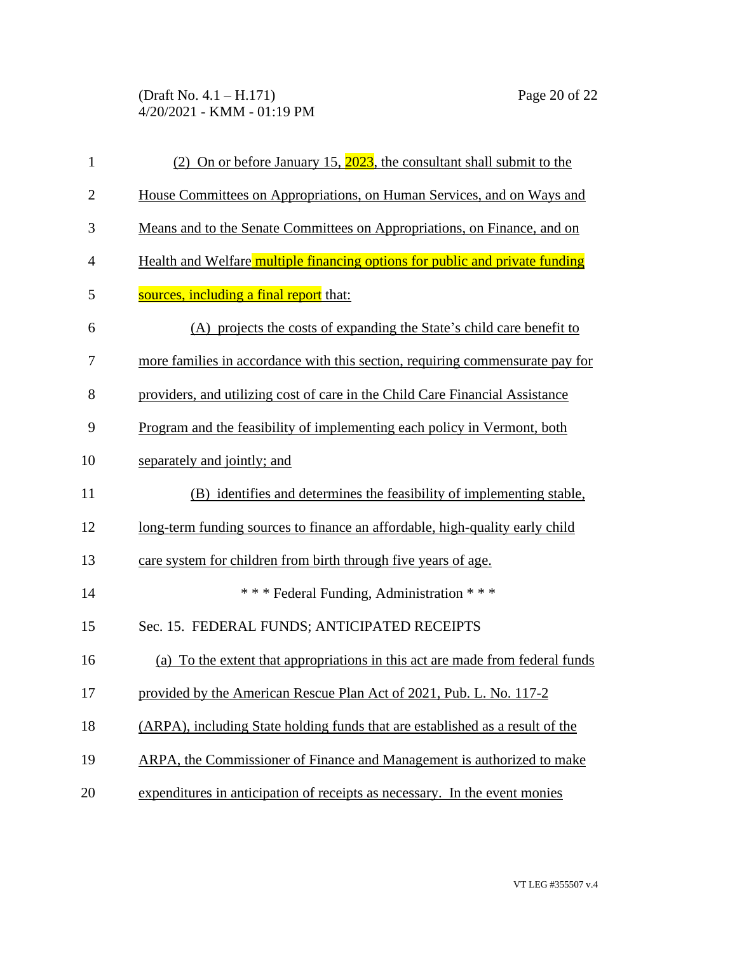(Draft No. 4.1 – H.171) Page 20 of 22 4/20/2021 - KMM - 01:19 PM

| $\mathbf{1}$   | (2) On or before January 15, 2023, the consultant shall submit to the         |  |
|----------------|-------------------------------------------------------------------------------|--|
| $\overline{2}$ | House Committees on Appropriations, on Human Services, and on Ways and        |  |
| 3              | Means and to the Senate Committees on Appropriations, on Finance, and on      |  |
| $\overline{4}$ | Health and Welfare multiple financing options for public and private funding  |  |
| 5              | sources, including a final report that:                                       |  |
| 6              | (A) projects the costs of expanding the State's child care benefit to         |  |
| 7              | more families in accordance with this section, requiring commensurate pay for |  |
| 8              | providers, and utilizing cost of care in the Child Care Financial Assistance  |  |
| 9              | Program and the feasibility of implementing each policy in Vermont, both      |  |
| 10             | separately and jointly; and                                                   |  |
| 11             | (B) identifies and determines the feasibility of implementing stable,         |  |
| 12             | long-term funding sources to finance an affordable, high-quality early child  |  |
| 13             | care system for children from birth through five years of age.                |  |
| 14             | *** Federal Funding, Administration ***                                       |  |
| 15             | Sec. 15. FEDERAL FUNDS; ANTICIPATED RECEIPTS                                  |  |
| 16             | (a) To the extent that appropriations in this act are made from federal funds |  |
| 17             | provided by the American Rescue Plan Act of 2021, Pub. L. No. 117-2           |  |
| 18             | (ARPA), including State holding funds that are established as a result of the |  |
| 19             | ARPA, the Commissioner of Finance and Management is authorized to make        |  |
| 20             | expenditures in anticipation of receipts as necessary. In the event monies    |  |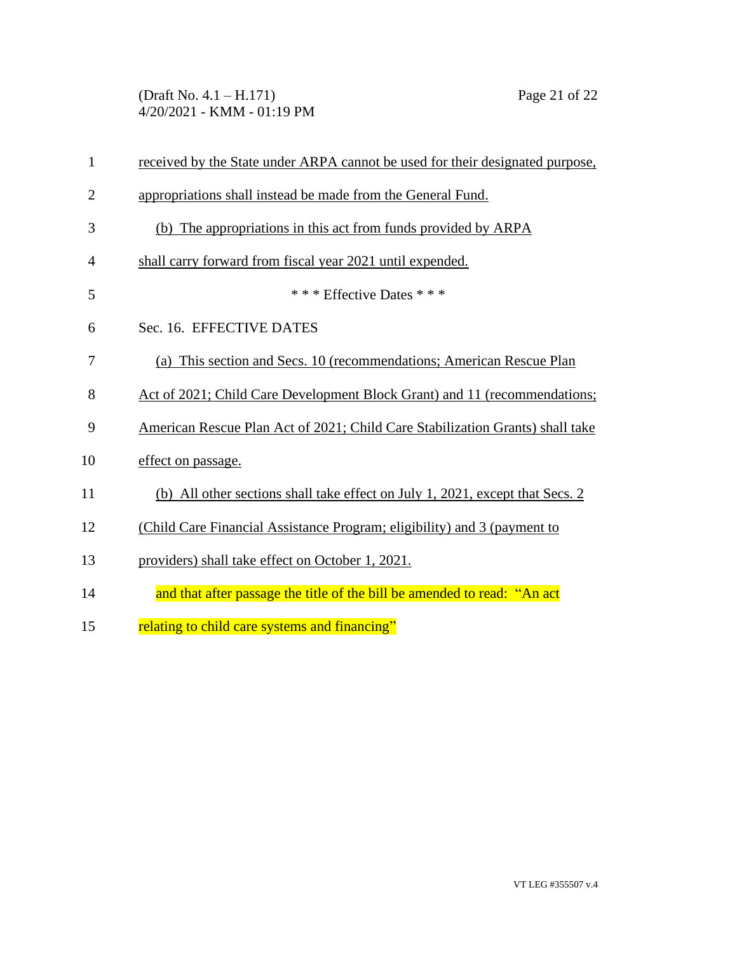(Draft No. 4.1 – H.171) Page 21 of 22 4/20/2021 - KMM - 01:19 PM

| $\mathbf{1}$   | received by the State under ARPA cannot be used for their designated purpose, |  |
|----------------|-------------------------------------------------------------------------------|--|
| $\overline{2}$ | appropriations shall instead be made from the General Fund.                   |  |
| 3              | (b) The appropriations in this act from funds provided by ARPA                |  |
| $\overline{4}$ | shall carry forward from fiscal year 2021 until expended.                     |  |
| 5              | * * * Effective Dates * * *                                                   |  |
| 6              | Sec. 16. EFFECTIVE DATES                                                      |  |
| 7              | (a) This section and Secs. 10 (recommendations; American Rescue Plan          |  |
| 8              | Act of 2021; Child Care Development Block Grant) and 11 (recommendations;     |  |
| 9              | American Rescue Plan Act of 2021; Child Care Stabilization Grants) shall take |  |
| 10             | effect on passage.                                                            |  |
| 11             | (b) All other sections shall take effect on July 1, 2021, except that Secs. 2 |  |
| 12             | (Child Care Financial Assistance Program; eligibility) and 3 (payment to      |  |
| 13             | providers) shall take effect on October 1, 2021.                              |  |
| 14             | and that after passage the title of the bill be amended to read: "An act      |  |
| 15             | relating to child care systems and financing"                                 |  |